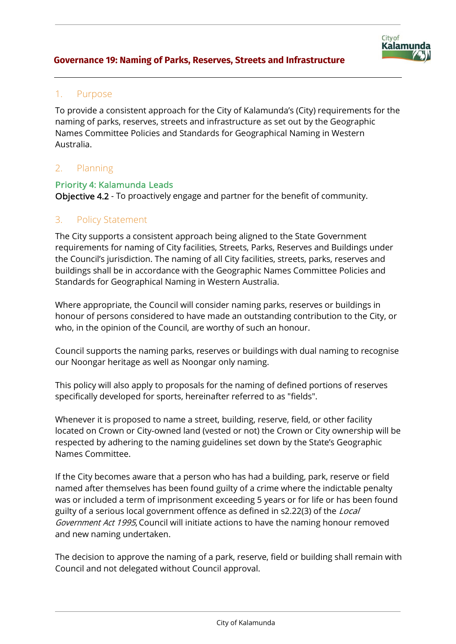

### 1. Purpose

To provide a consistent approach for the City of Kalamunda's (City) requirements for the naming of parks, reserves, streets and infrastructure as set out by the Geographic Names Committee Policies and Standards for Geographical Naming in Western Australia.

## 2. Planning

#### Priority 4: Kalamunda Leads

Objective 4.2 - To proactively engage and partner for the benefit of community.

### 3. Policy Statement

The City supports a consistent approach being aligned to the State Government requirements for naming of City facilities, Streets, Parks, Reserves and Buildings under the Council's jurisdiction. The naming of all City facilities, streets, parks, reserves and buildings shall be in accordance with the Geographic Names Committee Policies and Standards for Geographical Naming in Western Australia.

Where appropriate, the Council will consider naming parks, reserves or buildings in honour of persons considered to have made an outstanding contribution to the City, or who, in the opinion of the Council, are worthy of such an honour.

Council supports the naming parks, reserves or buildings with dual naming to recognise our Noongar heritage as well as Noongar only naming.

This policy will also apply to proposals for the naming of defined portions of reserves specifically developed for sports, hereinafter referred to as "fields".

Whenever it is proposed to name a street, building, reserve, field, or other facility located on Crown or City-owned land (vested or not) the Crown or City ownership will be respected by adhering to the naming guidelines set down by the State's Geographic Names Committee.

If the City becomes aware that a person who has had a building, park, reserve or field named after themselves has been found guilty of a crime where the indictable penalty was or included a term of imprisonment exceeding 5 years or for life or has been found guilty of a serious local government offence as defined in s2.22(3) of the Local Government Act 1995, Council will initiate actions to have the naming honour removed and new naming undertaken.

The decision to approve the naming of a park, reserve, field or building shall remain with Council and not delegated without Council approval.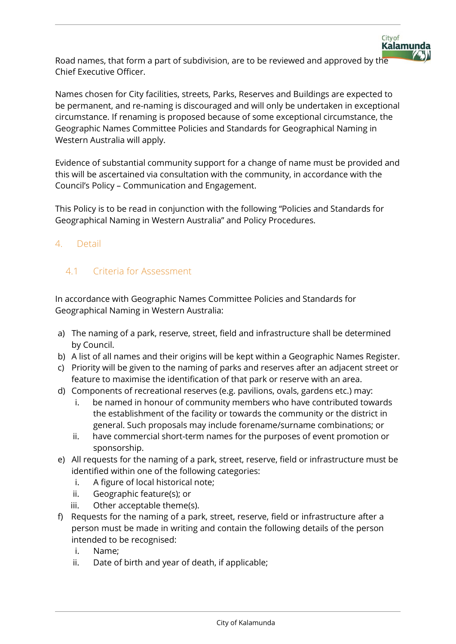Road names, that form a part of subdivision, are to be reviewed and approved by the Chief Executive Officer.

City of

**Kalamunda** 

Names chosen for City facilities, streets, Parks, Reserves and Buildings are expected to be permanent, and re-naming is discouraged and will only be undertaken in exceptional circumstance. If renaming is proposed because of some exceptional circumstance, the Geographic Names Committee Policies and Standards for Geographical Naming in Western Australia will apply.

Evidence of substantial community support for a change of name must be provided and this will be ascertained via consultation with the community, in accordance with the Council's Policy – Communication and Engagement.

This Policy is to be read in conjunction with the following "Policies and Standards for Geographical Naming in Western Australia" and Policy Procedures.

## 4. Detail

# 4.1 Criteria for Assessment

In accordance with Geographic Names Committee Policies and Standards for Geographical Naming in Western Australia:

- a) The naming of a park, reserve, street, field and infrastructure shall be determined by Council.
- b) A list of all names and their origins will be kept within a Geographic Names Register.
- c) Priority will be given to the naming of parks and reserves after an adjacent street or feature to maximise the identification of that park or reserve with an area.
- d) Components of recreational reserves (e.g. pavilions, ovals, gardens etc.) may:
	- i. be named in honour of community members who have contributed towards the establishment of the facility or towards the community or the district in general. Such proposals may include forename/surname combinations; or
	- ii. have commercial short-term names for the purposes of event promotion or sponsorship.
- e) All requests for the naming of a park, street, reserve, field or infrastructure must be identified within one of the following categories:
	- i. A figure of local historical note;
	- ii. Geographic feature(s); or
	- iii. Other acceptable theme(s).
- f) Requests for the naming of a park, street, reserve, field or infrastructure after a person must be made in writing and contain the following details of the person intended to be recognised:
	- i. Name;
	- ii. Date of birth and year of death, if applicable;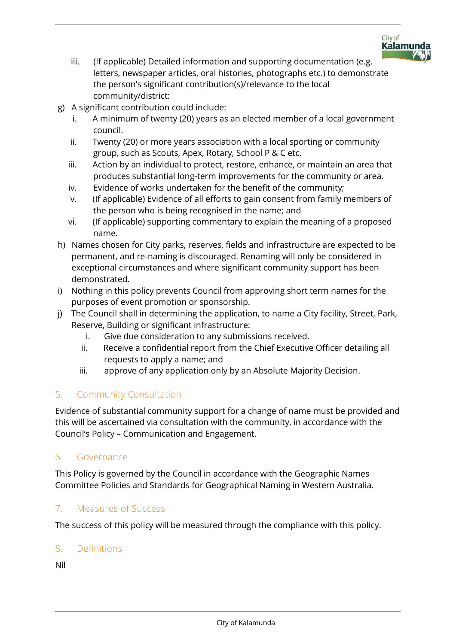

- iii. (If applicable) Detailed information and supporting documentation (e.g. letters, newspaper articles, oral histories, photographs etc.) to demonstrate the person's significant contribution(s)/relevance to the local community/district:
- g) A significant contribution could include:
	- i. A minimum of twenty (20) years as an elected member of a local government council.
	- ii. Twenty (20) or more years association with a local sporting or community group, such as Scouts, Apex, Rotary, School P & C etc.
	- iii. Action by an individual to protect, restore, enhance, or maintain an area that produces substantial long-term improvements for the community or area.
	- iv. Evidence of works undertaken for the benefit of the community;
	- v. (If applicable) Evidence of all efforts to gain consent from family members of the person who is being recognised in the name; and
	- vi. (If applicable) supporting commentary to explain the meaning of a proposed name.
- h) Names chosen for City parks, reserves, fields and infrastructure are expected to be permanent, and re-naming is discouraged. Renaming will only be considered in exceptional circumstances and where significant community support has been demonstrated.
- i) Nothing in this policy prevents Council from approving short term names for the purposes of event promotion or sponsorship.
- j) The Council shall in determining the application, to name a City facility, Street, Park, Reserve, Building or significant infrastructure:
	- i. Give due consideration to any submissions received.
	- ii. Receive a confidential report from the Chief Executive Officer detailing all requests to apply a name; and
	- iii. approve of any application only by an Absolute Majority Decision.

## 5. Community Consultation

Evidence of substantial community support for a change of name must be provided and this will be ascertained via consultation with the community, in accordance with the Council's Policy – Communication and Engagement.

### 6. Governance

This Policy is governed by the Council in accordance with the Geographic Names Committee Policies and Standards for Geographical Naming in Western Australia.

## 7. Measures of Success

The success of this policy will be measured through the compliance with this policy.

### 8. Definitions

Nil